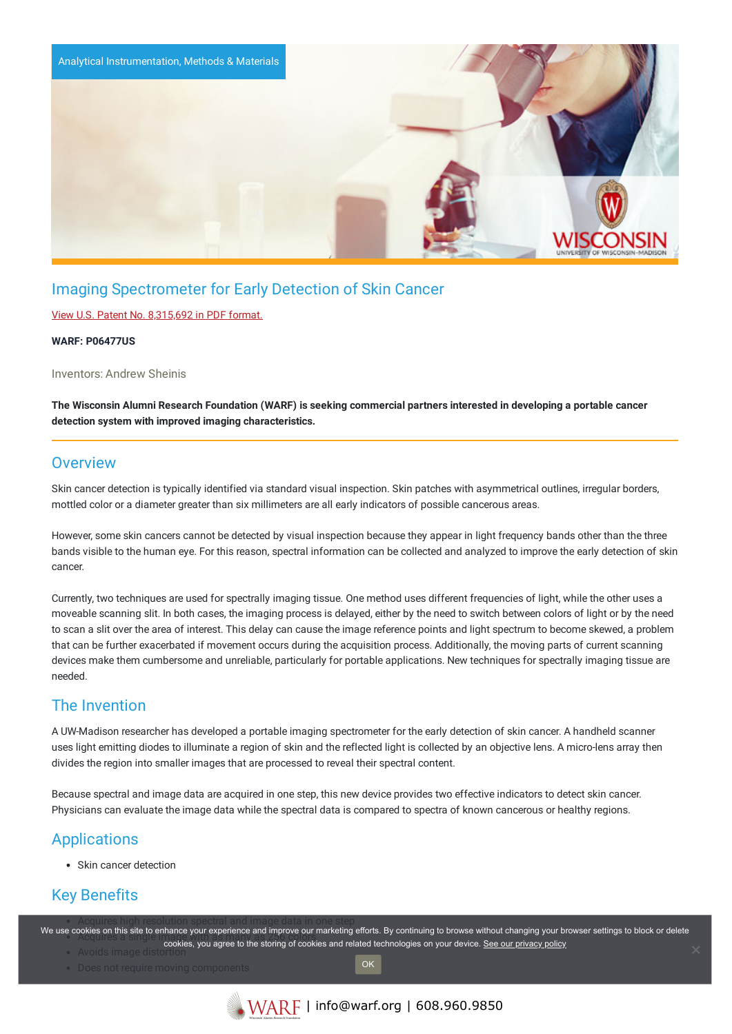

# Imaging Spectrometer for Early Detection of Skin Cancer

#### View U.S. Patent No. [8,315,692](https://www.warf.org/wp-content/uploads/technologies/ipstatus/P06477US.PDF) in PDF format.

#### **WARF: P06477US**

Inventors: Andrew Sheinis

The Wisconsin Alumni Research Foundation (WARF) is seeking commercial partners interested in developing a portable cancer **detection system with improved imaging characteristics.**

### **Overview**

Skin cancer detection is typically identified via standard visual inspection. Skin patches with asymmetrical outlines, irregular borders, mottled color or a diameter greater than six millimeters are all early indicators of possible cancerous areas.

However, some skin cancers cannot be detected by visual inspection because they appear in light frequency bands other than the three bands visible to the human eye. For this reason, spectral information can be collected and analyzed to improve the early detection of skin cancer.

Currently, two techniques are used for spectrally imaging tissue. One method uses different frequencies of light, while the other uses a moveable scanning slit. In both cases, the imaging process is delayed, either by the need to switch between colors of light or by the need to scan a slit over the area of interest. This delay can cause the image reference points and light spectrum to become skewed, a problem that can be further exacerbated if movement occurs during the acquisition process. Additionally, the moving parts of current scanning devices make them cumbersome and unreliable, particularly for portable applications. New techniques for spectrally imaging tissue are needed.

## The Invention

A UW-Madison researcher has developed a portable imaging spectrometer for the early detection of skin cancer. A handheld scanner uses light emitting diodes to illuminate a region of skin and the reflected light is collected by an objective lens. A micro-lens array then divides the region into smaller images that are processed to reveal their spectral content.

Because spectral and image data are acquired in one step, this new device provides two effective indicators to detect skin cancer. Physicians can evaluate the image data while the spectral data is compared to spectra of known cancerous or healthy regions.

## **Applications**

Skin cancer detection

# Key Benefits

We use cookies on this site to enhance your experience and improve our marketing efforts. By continuing to browse without changing your browser settings to block or delete • Avoids image disto cookies, you agree to the storing of cookies and related technologies on your device. [See our privacy policy](https://www.warf.org/privacy-policy/)

OK

- Does not require moving components
	-